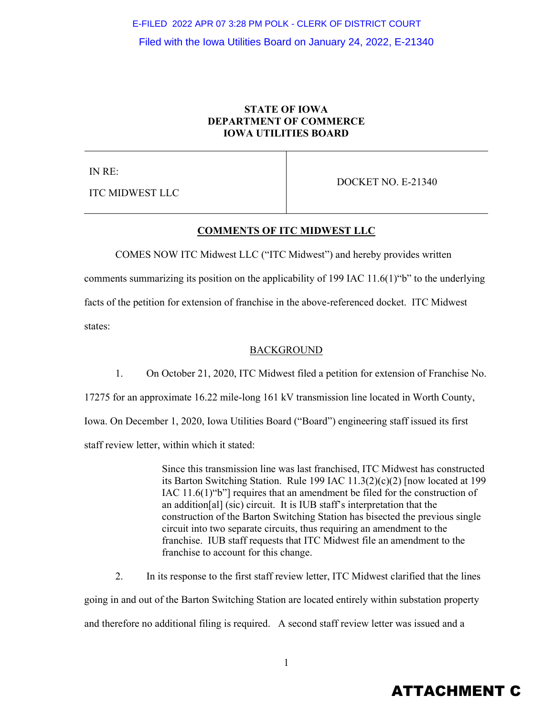## **STATE OF IOWA DEPARTMENT OF COMMERCE IOWA UTILITIES BOARD**

IN RE:

ITC MIDWEST LLC

DOCKET NO. E-21340

## **COMMENTS OF ITC MIDWEST LLC**

COMES NOW ITC Midwest LLC ("ITC Midwest") and hereby provides written comments summarizing its position on the applicability of 199 IAC 11.6(1)"b" to the underlying facts of the petition for extension of franchise in the above-referenced docket. ITC Midwest states:

## BACKGROUND

1. On October 21, 2020, ITC Midwest filed a petition for extension of Franchise No. 17275 for an approximate 16.22 mile-long 161 kV transmission line located in Worth County, Iowa. On December 1, 2020, Iowa Utilities Board ("Board") engineering staff issued its first

staff review letter, within which it stated:

Since this transmission line was last franchised, ITC Midwest has constructed its Barton Switching Station. Rule 199 IAC 11.3(2)(c)(2) [now located at 199 IAC 11.6(1)"b"] requires that an amendment be filed for the construction of an addition[al] (sic) circuit. It is IUB staff's interpretation that the construction of the Barton Switching Station has bisected the previous single circuit into two separate circuits, thus requiring an amendment to the franchise. IUB staff requests that ITC Midwest file an amendment to the franchise to account for this change.

2. In its response to the first staff review letter, ITC Midwest clarified that the lines

going in and out of the Barton Switching Station are located entirely within substation property

and therefore no additional filing is required. A second staff review letter was issued and a

# ATTACHMENT C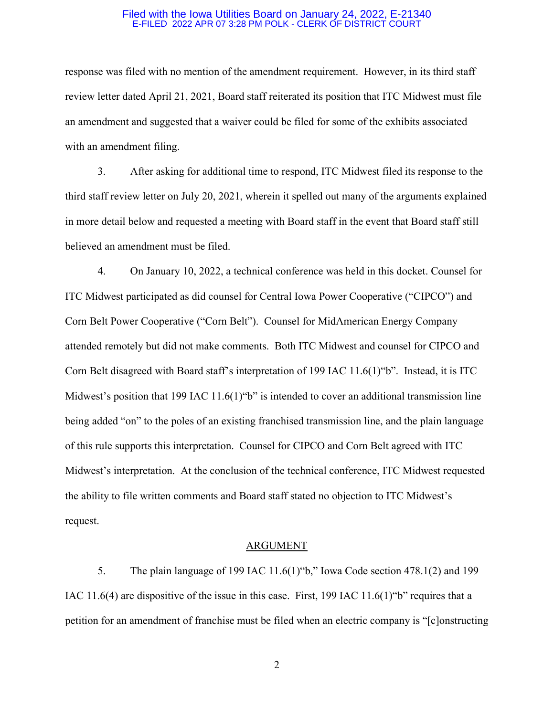response was filed with no mention of the amendment requirement. However, in its third staff review letter dated April 21, 2021, Board staff reiterated its position that ITC Midwest must file an amendment and suggested that a waiver could be filed for some of the exhibits associated with an amendment filing.

3. After asking for additional time to respond, ITC Midwest filed its response to the third staff review letter on July 20, 2021, wherein it spelled out many of the arguments explained in more detail below and requested a meeting with Board staff in the event that Board staff still believed an amendment must be filed.

4. On January 10, 2022, a technical conference was held in this docket. Counsel for ITC Midwest participated as did counsel for Central Iowa Power Cooperative ("CIPCO") and Corn Belt Power Cooperative ("Corn Belt"). Counsel for MidAmerican Energy Company attended remotely but did not make comments. Both ITC Midwest and counsel for CIPCO and Corn Belt disagreed with Board staff's interpretation of 199 IAC 11.6(1)"b". Instead, it is ITC Midwest's position that 199 IAC 11.6(1) "b" is intended to cover an additional transmission line being added "on" to the poles of an existing franchised transmission line, and the plain language of this rule supports this interpretation. Counsel for CIPCO and Corn Belt agreed with ITC Midwest's interpretation. At the conclusion of the technical conference, ITC Midwest requested the ability to file written comments and Board staff stated no objection to ITC Midwest's request.

#### ARGUMENT

5. The plain language of 199 IAC 11.6(1)"b," Iowa Code section 478.1(2) and 199 IAC 11.6(4) are dispositive of the issue in this case. First, 199 IAC 11.6(1)"b" requires that a petition for an amendment of franchise must be filed when an electric company is "[c]onstructing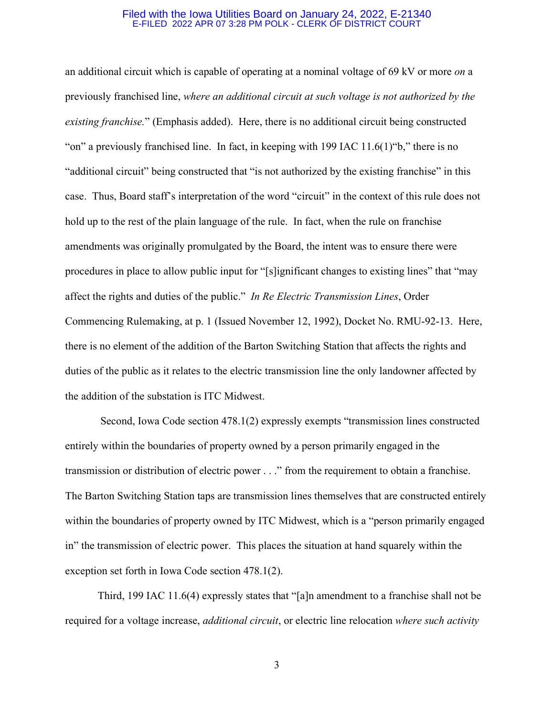an additional circuit which is capable of operating at a nominal voltage of 69 kV or more *on* a previously franchised line, *where an additional circuit at such voltage is not authorized by the existing franchise.*" (Emphasis added). Here, there is no additional circuit being constructed "on" a previously franchised line. In fact, in keeping with 199 IAC 11.6(1)"b," there is no "additional circuit" being constructed that "is not authorized by the existing franchise" in this case. Thus, Board staff's interpretation of the word "circuit" in the context of this rule does not hold up to the rest of the plain language of the rule. In fact, when the rule on franchise amendments was originally promulgated by the Board, the intent was to ensure there were procedures in place to allow public input for "[s]ignificant changes to existing lines" that "may affect the rights and duties of the public." *In Re Electric Transmission Lines*, Order Commencing Rulemaking, at p. 1 (Issued November 12, 1992), Docket No. RMU-92-13. Here, there is no element of the addition of the Barton Switching Station that affects the rights and duties of the public as it relates to the electric transmission line the only landowner affected by the addition of the substation is ITC Midwest.

Second, Iowa Code section 478.1(2) expressly exempts "transmission lines constructed entirely within the boundaries of property owned by a person primarily engaged in the transmission or distribution of electric power . . ." from the requirement to obtain a franchise. The Barton Switching Station taps are transmission lines themselves that are constructed entirely within the boundaries of property owned by ITC Midwest, which is a "person primarily engaged in" the transmission of electric power. This places the situation at hand squarely within the exception set forth in Iowa Code section 478.1(2).

Third, 199 IAC 11.6(4) expressly states that "[a]n amendment to a franchise shall not be required for a voltage increase, *additional circuit*, or electric line relocation *where such activity*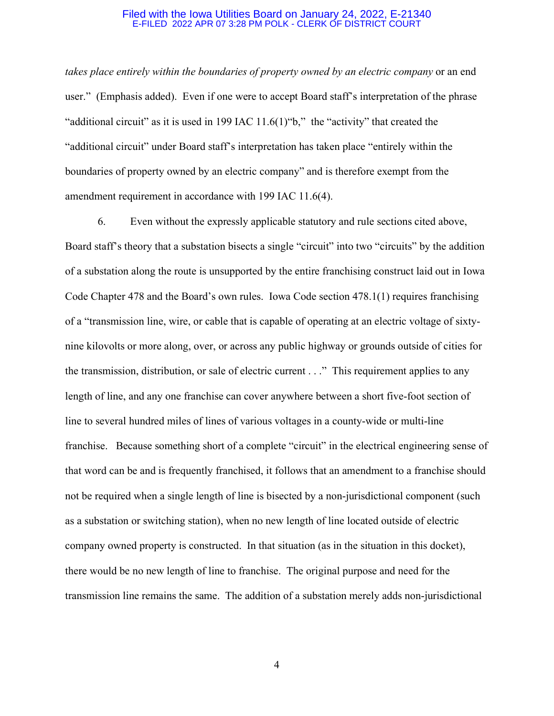*takes place entirely within the boundaries of property owned by an electric company* or an end user." (Emphasis added). Even if one were to accept Board staff's interpretation of the phrase "additional circuit" as it is used in 199 IAC 11.6(1)"b," the "activity" that created the "additional circuit" under Board staff's interpretation has taken place "entirely within the boundaries of property owned by an electric company" and is therefore exempt from the amendment requirement in accordance with 199 IAC 11.6(4).

6. Even without the expressly applicable statutory and rule sections cited above, Board staff's theory that a substation bisects a single "circuit" into two "circuits" by the addition of a substation along the route is unsupported by the entire franchising construct laid out in Iowa Code Chapter 478 and the Board's own rules. Iowa Code section 478.1(1) requires franchising of a "transmission line, wire, or cable that is capable of operating at an electric voltage of sixtynine kilovolts or more along, over, or across any public highway or grounds outside of cities for the transmission, distribution, or sale of electric current . . ." This requirement applies to any length of line, and any one franchise can cover anywhere between a short five-foot section of line to several hundred miles of lines of various voltages in a county-wide or multi-line franchise. Because something short of a complete "circuit" in the electrical engineering sense of that word can be and is frequently franchised, it follows that an amendment to a franchise should not be required when a single length of line is bisected by a non-jurisdictional component (such as a substation or switching station), when no new length of line located outside of electric company owned property is constructed. In that situation (as in the situation in this docket), there would be no new length of line to franchise. The original purpose and need for the transmission line remains the same. The addition of a substation merely adds non-jurisdictional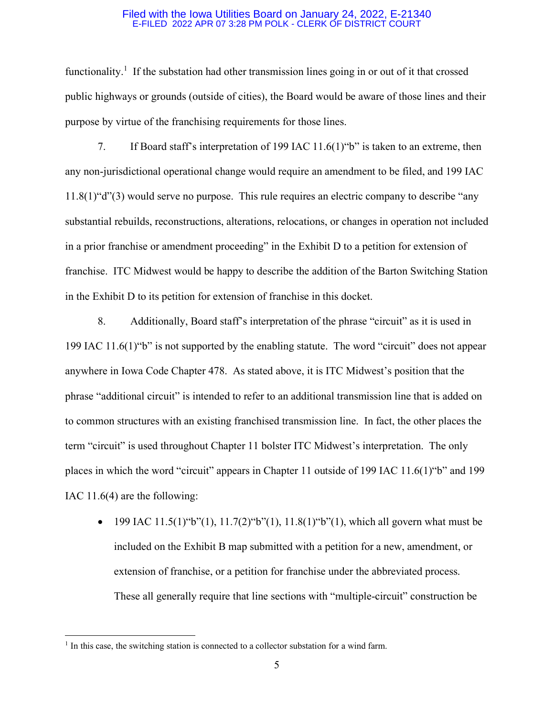functionality.<sup>[1](#page-4-0)</sup> If the substation had other transmission lines going in or out of it that crossed public highways or grounds (outside of cities), the Board would be aware of those lines and their purpose by virtue of the franchising requirements for those lines.

7. If Board staff's interpretation of 199 IAC 11.6(1)"b" is taken to an extreme, then any non-jurisdictional operational change would require an amendment to be filed, and 199 IAC 11.8(1)"d"(3) would serve no purpose. This rule requires an electric company to describe "any substantial rebuilds, reconstructions, alterations, relocations, or changes in operation not included in a prior franchise or amendment proceeding" in the Exhibit D to a petition for extension of franchise. ITC Midwest would be happy to describe the addition of the Barton Switching Station in the Exhibit D to its petition for extension of franchise in this docket.

8. Additionally, Board staff's interpretation of the phrase "circuit" as it is used in 199 IAC 11.6(1)"b" is not supported by the enabling statute. The word "circuit" does not appear anywhere in Iowa Code Chapter 478. As stated above, it is ITC Midwest's position that the phrase "additional circuit" is intended to refer to an additional transmission line that is added on to common structures with an existing franchised transmission line. In fact, the other places the term "circuit" is used throughout Chapter 11 bolster ITC Midwest's interpretation. The only places in which the word "circuit" appears in Chapter 11 outside of 199 IAC 11.6(1)"b" and 199 IAC 11.6(4) are the following:

• 199 IAC 11.5(1)"b"(1), 11.7(2)"b"(1), 11.8(1)"b"(1), which all govern what must be included on the Exhibit B map submitted with a petition for a new, amendment, or extension of franchise, or a petition for franchise under the abbreviated process. These all generally require that line sections with "multiple-circuit" construction be

<span id="page-4-0"></span><sup>&</sup>lt;sup>1</sup> In this case, the switching station is connected to a collector substation for a wind farm.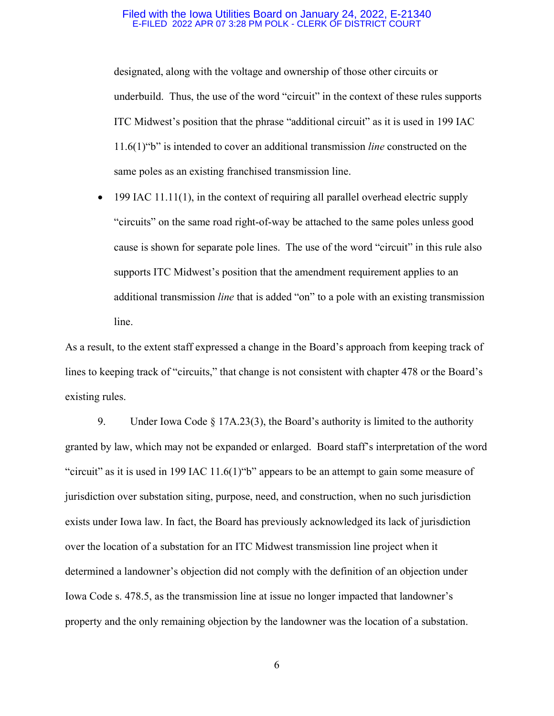designated, along with the voltage and ownership of those other circuits or underbuild. Thus, the use of the word "circuit" in the context of these rules supports ITC Midwest's position that the phrase "additional circuit" as it is used in 199 IAC 11.6(1)"b" is intended to cover an additional transmission *line* constructed on the same poles as an existing franchised transmission line.

 $\bullet$  199 IAC 11.11(1), in the context of requiring all parallel overhead electric supply "circuits" on the same road right-of-way be attached to the same poles unless good cause is shown for separate pole lines. The use of the word "circuit" in this rule also supports ITC Midwest's position that the amendment requirement applies to an additional transmission *line* that is added "on" to a pole with an existing transmission line.

As a result, to the extent staff expressed a change in the Board's approach from keeping track of lines to keeping track of "circuits," that change is not consistent with chapter 478 or the Board's existing rules.

9. Under Iowa Code § 17A.23(3), the Board's authority is limited to the authority granted by law, which may not be expanded or enlarged. Board staff's interpretation of the word "circuit" as it is used in 199 IAC 11.6(1)"b" appears to be an attempt to gain some measure of jurisdiction over substation siting, purpose, need, and construction, when no such jurisdiction exists under Iowa law. In fact, the Board has previously acknowledged its lack of jurisdiction over the location of a substation for an ITC Midwest transmission line project when it determined a landowner's objection did not comply with the definition of an objection under Iowa Code s. 478.5, as the transmission line at issue no longer impacted that landowner's property and the only remaining objection by the landowner was the location of a substation.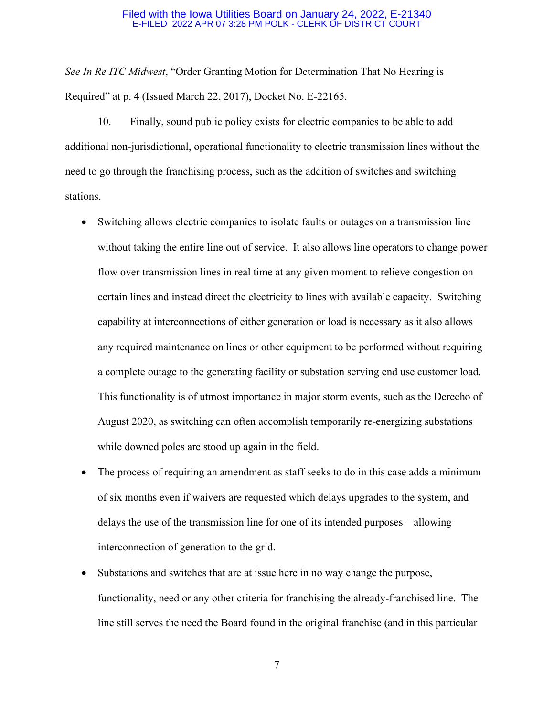*See In Re ITC Midwest*, "Order Granting Motion for Determination That No Hearing is Required" at p. 4 (Issued March 22, 2017), Docket No. E-22165.

10. Finally, sound public policy exists for electric companies to be able to add additional non-jurisdictional, operational functionality to electric transmission lines without the need to go through the franchising process, such as the addition of switches and switching stations.

- Switching allows electric companies to isolate faults or outages on a transmission line without taking the entire line out of service. It also allows line operators to change power flow over transmission lines in real time at any given moment to relieve congestion on certain lines and instead direct the electricity to lines with available capacity. Switching capability at interconnections of either generation or load is necessary as it also allows any required maintenance on lines or other equipment to be performed without requiring a complete outage to the generating facility or substation serving end use customer load. This functionality is of utmost importance in major storm events, such as the Derecho of August 2020, as switching can often accomplish temporarily re-energizing substations while downed poles are stood up again in the field.
- The process of requiring an amendment as staff seeks to do in this case adds a minimum of six months even if waivers are requested which delays upgrades to the system, and delays the use of the transmission line for one of its intended purposes – allowing interconnection of generation to the grid.
- Substations and switches that are at issue here in no way change the purpose, functionality, need or any other criteria for franchising the already-franchised line. The line still serves the need the Board found in the original franchise (and in this particular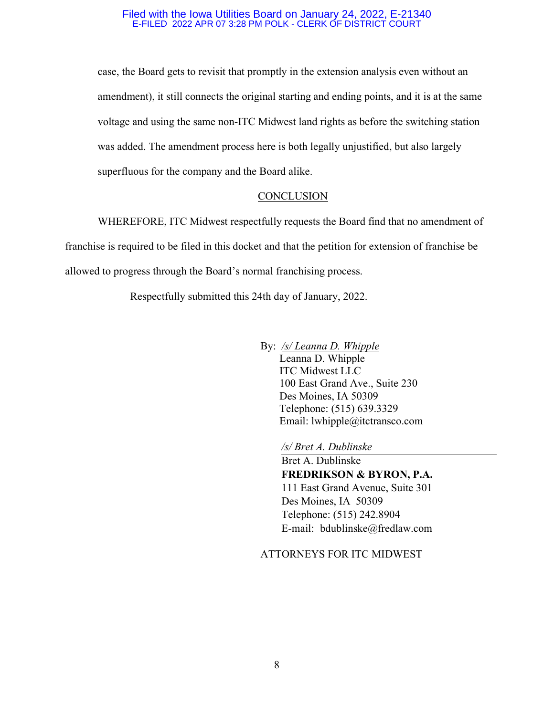case, the Board gets to revisit that promptly in the extension analysis even without an amendment), it still connects the original starting and ending points, and it is at the same voltage and using the same non-ITC Midwest land rights as before the switching station was added. The amendment process here is both legally unjustified, but also largely superfluous for the company and the Board alike.

### **CONCLUSION**

WHEREFORE, ITC Midwest respectfully requests the Board find that no amendment of franchise is required to be filed in this docket and that the petition for extension of franchise be allowed to progress through the Board's normal franchising process.

Respectfully submitted this 24th day of January, 2022.

By: */s/ Leanna D. Whipple* Leanna D. Whipple ITC Midwest LLC 100 East Grand Ave., Suite 230 Des Moines, IA 50309 Telephone: (515) 639.3329 Email: lwhipple@itctransco.com

*/s/ Bret A. Dublinske*

Bret A. Dublinske **FREDRIKSON & BYRON, P.A.** 111 East Grand Avenue, Suite 301 Des Moines, IA 50309 Telephone: (515) 242.8904 E-mail: bdublinske@fredlaw.com

## ATTORNEYS FOR ITC MIDWEST